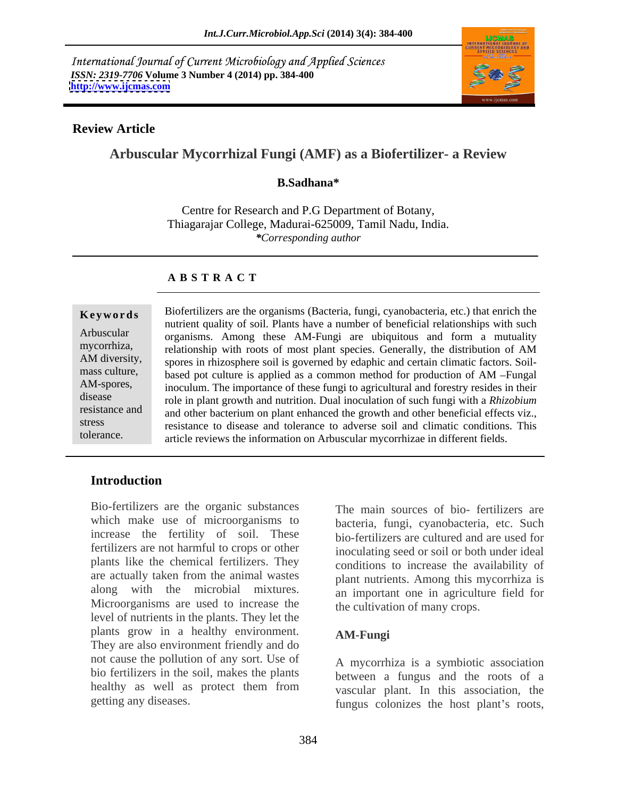International Journal of Current Microbiology and Applied Sciences *ISSN: 2319-7706* **Volume 3 Number 4 (2014) pp. 384-400 <http://www.ijcmas.com>**



# **Review Article**

# **Arbuscular Mycorrhizal Fungi (AMF) as a Biofertilizer- a Review**

# **B.Sadhana\***

Centre for Research and P.G Department of Botany, Thiagarajar College, Madurai-625009, Tamil Nadu, India. *\*Corresponding author*

### **A B S T R A C T**

**Keywords** Biofertilizers are the organisms (Bacteria, fungi, cyanobacteria, etc.) that enrich the Arbuscular organisms. Among these AM-Fungi are ubiquitous and form a mutuality mycorrhiza, relationship with roots of most plant species. Generally, the distribution of AM AM diversity, spores in rhizosphere soil is governed by edaphic and certain climatic factors. Soil mass culture, based pot culture is applied as a common method for production of AM -Fungal AM-spores, inoculum. The importance of these fungi to agricultural and forestry resides in their disease role in plant growth and nutrition. Dual inoculation of such fungi with a *Rhizobium*  resistance and and other bacterium on plant enhanced the growth and other beneficial effects viz., stress resistance to disease and tolerance to adverse soil and climatic conditions. This tolerance. article reviews the information on Arbuscular mycorrhizae in different fields.nutrient quality of soil. Plants have a number of beneficial relationships with such

# **Introduction**

Bio-fertilizers are the organic substances which make use of microorganisms to increase the fertility of soil. These fertilizers are not harmful to crops or other plants like the chemical fertilizers. They are actually taken from the animal wastes along with the microbial mixtures. Microorganisms are used to increase the level of nutrients in the plants. They let the plants grow in a healthy environment. AM-Fungi They are also environment friendly and do not cause the pollution of any sort. Use of bio fertilizers in the soil, makes the plants healthy as well as protect them from vascular plant. In this association, the

The main sources of bio- fertilizers are bacteria, fungi, cyanobacteria, etc. Such bio-fertilizers are cultured and are used for inoculating seed or soil or both under ideal conditions to increase the availability of plant nutrients. Among this mycorrhiza is an important one in agriculture field for the cultivation of many crops.

# **AM-Fungi**

getting any diseases. The fungus colonizes the host plant's roots, A mycorrhiza is a symbiotic association between a fungus and the roots of a vascular plant. In this association, the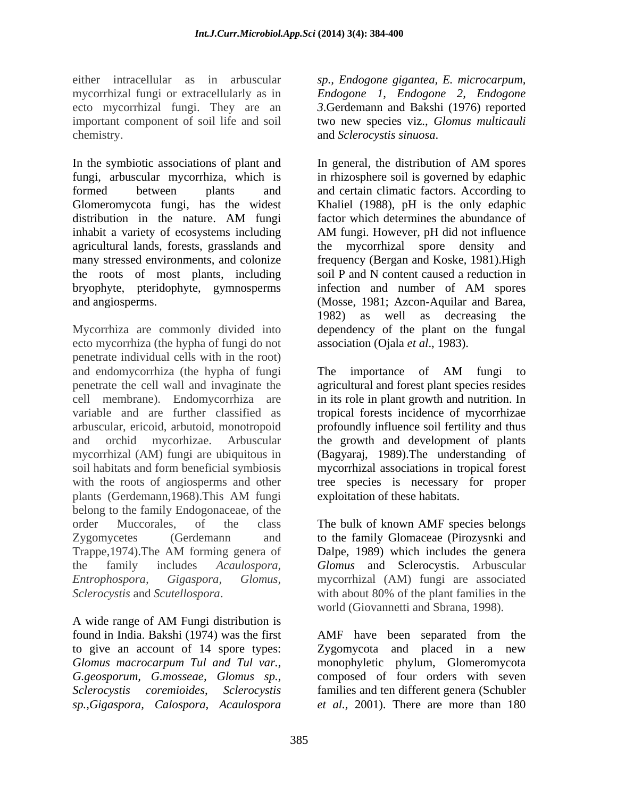either intracellular as in arbuscular *sp., Endogone gigantea, E. microcarpum,* mycorrhizal fungi or extracellularly as in *Endogone1, Endogone 2, Endogone* ecto mycorrhizal fungi. They are an *3*.Gerdemann and Bakshi (1976) reported important component of soil life and soil two new species viz., *Glomus multicauli* chemistry. and *Sclerocystis sinuosa*.

In the symbiotic associations of plant and In general, the distribution of AM spores fungi, arbuscular mycorrhiza, which is in rhizosphere soil is governed by edaphic formed between plants and and certain climatic factors. According to Glomeromycota fungi, has the widest Khaliel (1988), pH is the only edaphic distribution in the nature. AM fungi factor which determines the abundance of inhabit a variety of ecosystems including AM fungi. However, pH did not influence agricultural lands, forests, grasslands and the mycorrhizal spore density and many stressed environments, and colonize frequency (Bergan and Koske, 1981).High the roots of most plants, including bryophyte, pteridophyte, gymnosperms infection and number of AM spores and angiosperms. (Mosse, 1981; Azcon-Aquilar and Barea,

Mycorrhiza are commonly divided into ecto mycorrhiza (the hypha of fungi do not penetrate individual cells with in the root) and endomycorrhiza (the hypha of fungi The importance of AM fungi to penetrate the cell wall and invaginate the agricultural and forest plant species resides cell membrane). Endomycorrhiza are in its role in plant growth and nutrition. In variable and are further classified as tropical forests incidence of mycorrhizae arbuscular, ericoid, arbutoid, monotropoid profoundly influence soil fertility and thus and orchid mycorhizae. Arbuscular the growth and development of plants mycorrhizal (AM) fungi are ubiquitous in (Bagyaraj, 1989).The understanding of soil habitats and form beneficial symbiosis mycorrhizal associations in tropical forest with the roots of angiosperms and other tree species is necessary for proper plants (Gerdemann,1968).This AM fungi belong to the family Endogonaceae, of the order Muccorales, of the class The bulk of known AMF species belongs Zygomycetes (Gerdemann and to the family Glomaceae (Pirozysnki and Trappe, 1974). The AM forming genera of Dalpe, 1989) which includes the genera the family includes *Acaulospora, Glomus* and Sclerocystis. Arbuscular *Entrophospora, Gigaspora, Glomus,* mycorrhizal (AM) fungi are associated *Sclerocystis* and *Scutellospora*.

A wide range of AM Fungi distribution is found in India. Bakshi (1974) was the first AMF have been separated from the to give an account of 14 spore types: Zygomycota and placed in a new *Glomus macrocarpum Tul and Tul var.,* monophyletic phylum, Glomeromycota *G.geosporum, G.mosseae, Glomus sp.,* composed of four orders with seven *Sclerocystis coremioides*, *Sclerocystis*  families and ten different genera (Schubler *sp.,Gigaspora, Calospora, Acaulospora*

In general, the distribution of AM spores factor which determines the abundance of AM fungi. However, pH did not influence the mycorrhizal spore density soil P and N content caused a reduction in infection and number of AM spores 1982) as well as decreasing the dependency of the plant on the fungal association (Ojala *et al*., 1983).

The importance of AM fungi to exploitation of these habitats.

Dalpe, 1989) which includes the genera with about 80% of the plant families in the world (Giovannetti and Sbrana, 1998).

*et al.,* 2001). There are more than 180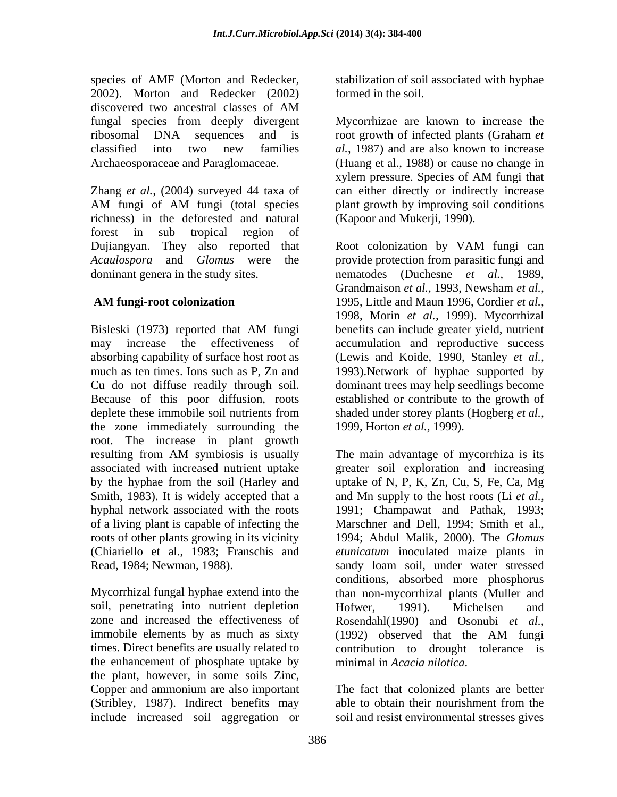species of AMF (Morton and Redecker, 2002). Morton and Redecker (2002) discovered two ancestral classes of AM fungal species from deeply divergent Mycorrhizae are known to increase the ribosomal DNA sequences and is root growth of infected plants (Graham *et* classified into two new families *al.*, 1987) and are also known to increase

Zhang *et al.,* (2004) surveyed 44 taxa of can either directly or indirectly increase AM fungi of AM fungi (total species plant growth by improving soil conditions richness) in the deforested and natural forest in sub tropical region of Dujiangyan. They also reported that Root colonization by VAM fungi can *Acaulospora* and *Glomus* were the provide protection from parasitic fungi and dominant genera in the study sites. hematodes (Duchesne *et al.*, 1989,

Bisleski (1973) reported that AM fungi benefits can include greater yield, nutrient may increase the effectiveness of accumulation and reproductive success absorbing capability of surface host root as (Lewis and Koide, 1990, Stanley *et al.,* much as ten times. Ions such as P, Zn and 1993).Network of hyphae supported by Cu do not diffuse readily through soil. dominant trees may help seedlings become Because of this poor diffusion, roots established or contribute to the growth of deplete these immobile soil nutrients from shaded under storey plants (Hogberg *et al.,* the zone immediately surrounding the root. The increase in plant growth resulting from AM symbiosis is usually The main advantage of mycorrhiza is its associated with increased nutrient uptake greater soil exploration and increasing by the hyphae from the soil (Harley and uptake of N, P, K, Zn, Cu, S, Fe, Ca, Mg Smith, 1983). It is widely accepted that a and Mn supply to the host roots (Li *et al.,* hyphal network associated with the roots 1991; Champawat and Pathak, 1993; of a living plant is capable of infecting the roots of other plants growing in its vicinity 1994; Abdul Malik, 2000). The *Glomus*  (Chiariello et al., 1983; Franschis and *etunicatum* inoculated maize plants in

Mycorrhizal fungal hyphae extend into the soil, penetrating into nutrient depletion Hofwer, 1991). Michelsen and zone and increased the effectiveness of immobile elements by as much as sixty (1992) observed that the AM fungi times. Direct benefits are usually related to the enhancement of phosphate uptake by minimal in Acacia nilotica. the plant, however, in some soils Zinc, Copper and ammonium are also important (Stribley, 1987). Indirect benefits may able to obtain their nourishment from the

stabilization of soil associated with hyphae formed in the soil.

Archaeosporaceae and Paraglomaceae. (Huang et al., 1988) or cause no change in xylem pressure. Species of AM fungi that plant growth by improving soil conditions (Kapoor and Mukerji, 1990).

 **AM fungi-root colonization** 1995, Little and Maun 1996, Cordier *et al.,* Root colonization by VAM fungi can nematodes (Duchesne *et al.*, Grandmaison *et al.,* 1993, Newsham *et al.,* 1998, Morin *et al.,* 1999). Mycorrhizal benefits can include greater yield, nutrient 1999, Horton *et al.,* 1999).

Read, 1984; Newman, 1988). sandy loam soil, under water stressed The main advantage of mycorrhiza is its Marschner and Dell, 1994; Smith et al., conditions, absorbed more phosphorus than non-mycorrhizal plants (Muller and Hofwer, 1991). Michelsen and Rosendahl(1990) and Osonubi *et al.,* (1992) observed that the AM fungi contribution to drought tolerance is minimal in *Acacia nilotica*.

include increased soil aggregation or soil and resist environmental stresses gives The fact that colonized plants are better able to obtain their nourishment from the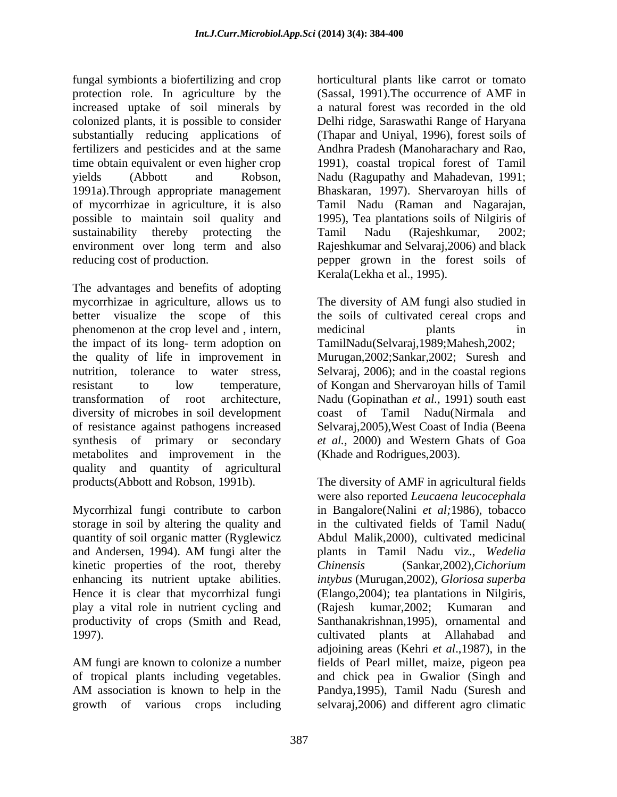fungal symbionts a biofertilizing and crop horticultural plants like carrot or tomato protection role. In agriculture by the (Sassal, 1991).The occurrence of AMF in increased uptake of soil minerals by colonized plants, it is possible to consider Delhi ridge, Saraswathi Range of Haryana substantially reducing applications of (Thapar and Uniyal, 1996), forest soils of fertilizers and pesticides and at the same Andhra Pradesh (Manoharachary and Rao, time obtain equivalent or even higher crop 1991), coastal tropical forest of Tamil yields (Abbott and Robson, Nadu (Ragupathy and Mahadevan, 1991; 1991a).Through appropriate management Bhaskaran, 1997). Shervaroyan hills of of mycorrhizae in agriculture, it is also Tamil Nadu (Raman and Nagarajan, possible to maintain soil quality and 1995), Tea plantations soils of Nilgiris of sustainability thereby protecting the Tamil Nadu (Rajeshkumar, 2002; environment over long term and also Rajeshkumar and Selvaraj, 2006) and black reducing cost of production. pepper grown in the forest soils of

The advantages and benefits of adopting mycorrhizae in agriculture, allows us to The diversity of AM fungi also studied in better visualize the scope of this the soils of cultivated cereal crops and phenomenon at the crop level and , intern, medicinal plants in the impact of its long- term adoption on the quality of life in improvement in Murugan,2002;Sankar,2002; Suresh and nutrition, tolerance to water stress, Selvaraj, 2006); and in the coastal regions resistant to low temperature, of Kongan and Shervaroyan hills of Tamil transformation of root architecture, Nadu (Gopinathan *et al.,* 1991) south east diversity of microbes in soil development coast of of resistance against pathogens increased Selvaraj,2005),West Coast of India (Beena synthesis of primary or secondary *et al.,* 2000) and Western Ghats of Goa metabolites and improvement in the quality and quantity of agricultural products(Abbott and Robson, 1991b). The diversity of AMF in agricultural fields

storage in soil by altering the quality and quantity of soil organic matter (Ryglewicz kinetic properties of the root, thereby Chinensis (Sankar, 2002), Cichorium play a vital role in nutrient cycling and productivity of crops (Smith and Read,

a natural forest was recorded in the old Tamil Nadu (Rajeshkumar, 2002; Rajeshkumar and Selvaraj,2006) and black Kerala(Lekha et al., 1995).

The diversity of AM fungi also studied in medicinal plants in TamilNadu(Selvaraj,1989;Mahesh,2002; Tamil Nadu(Nirmala and (Khade and Rodrigues,2003).

Mycorrhizal fungi contribute to carbon in Bangalore(Nalini *et al;*1986), tobacco and Andersen, 1994). AM fungi alter the plants in Tamil Nadu viz., Wedelia enhancing its nutrient uptake abilities. *intybus* (Murugan,2002), *Gloriosa superba* Hence it is clear that mycorrhizal fungi (Elango,2004); tea plantations in Nilgiris, 1997). cultivated plants at Allahabad and AM fungi are known to colonize a number fields of Pearl millet, maize, pigeon pea of tropical plants including vegetables. and chick pea in Gwalior (Singh and AM association is known to help in the Pandya,1995), Tamil Nadu (Suresh and growth of various crops including selvaraj,2006) and different agro climaticwere also reported *Leucaena leucocephala* in the cultivated fields of Tamil Nadu( Abdul Malik,2000), cultivated medicinal plants in Tamil Nadu viz., *Wedelia Chinensis* (Sankar,2002),*Cichorium* (Rajesh kumar,2002; Kumaran and Santhanakrishnan,1995), ornamental and adjoining areas (Kehri *et al*.,1987), in the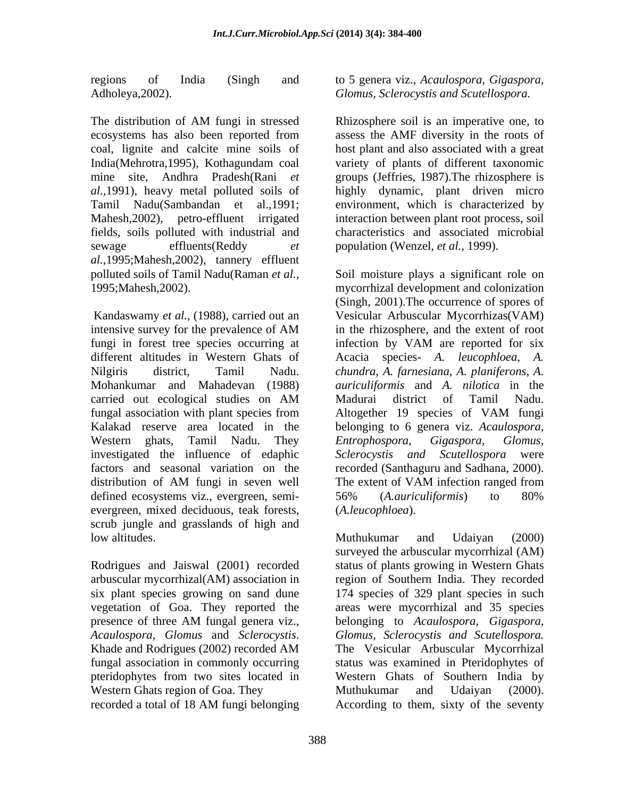regions of India (Singh and to 5 genera viz., *Acaulospora, Gigaspora,*

The distribution of AM fungi in stressed Rhizosphere soil is an imperative one, to ecosystems has also been reported from assess the AMF diversity in the roots of coal, lignite and calcite mine soils of India(Mehrotra,1995), Kothagundam coal mine site, Andhra Pradesh(Rani *et*  groups (Jeffries, 1987).The rhizosphere is *al.,*1991), heavy metal polluted soils of highly dynamic, plant driven micro Tamil Nadu(Sambandan et al.,1991; environment, which is characterized by Mahesh,2002), petro-effluent irrigated interaction between plant root process, soil fields, soils polluted with industrial and sewage effluents(Reddy *et*  population (Wenzel, *et al.,* 1999). *al.,*1995;Mahesh,2002), tannery effluent polluted soils of Tamil Nadu(Raman *et al.,*

fungi in forest tree species occurring at infection by VAM are reported for six investigated the influence of edaphic Sclerocystis and Scutellospora were defined ecosystems viz., evergreen, semi-<br>56% (*A.auriculiformis*) to 80% evergreen, mixed deciduous, teak forests, scrub jungle and grasslands of high and

Rodrigues and Jaiswal (2001) recorded Western Ghats region of Goa. They Muthukumar and Udaiyan (2000).

Adholeya,2002). *Glomus, Sclerocystis and Scutellospora.*

Rhizosphere soil is an imperative one, to assess theAMF diversity in the roots of host plant and also associated with a great variety of plants of different taxonomic characteristics and associated microbial

1995;Mahesh,2002). mycorrhizal development and colonization Kandaswamy *et al.*, (1988), carried out an Vesicular Arbuscular Mycorrhizas(VAM) intensive survey for the prevalence of AM in the rhizosphere, and the extent of root different altitudes in Western Ghats of Acacia species- *A. leucophloea*, *A.*  Nilgiris district, Tamil Nadu. *chundra*, *A. farnesiana*, *A. planiferons*, *A.*  Mohankumar and Mahadevan (1988) *auriculiformis* and *A. nilotica* in the carried out ecological studies on AM fungal association with plant species from Altogether 19 species of VAM fungi Kalakad reserve area located in the belonging to 6 genera viz. *Acaulospora,*  Western ghats, Tamil Nadu. They *Entrophospora, Gigaspora, Glomus,* factors and seasonal variation on the recorded (Santhaguru and Sadhana, 2000). distribution of AM fungi in seven well The extent of VAM infection ranged from Soil moisture plays a significant role on (Singh, 2001).The occurrence of spores of in the rhizosphere, and the extent of root infection by VAM are reported for six Madurai district of Tamil Nadu. Altogether 19 species of VAM fungi *Entrophospora, Gigaspora, Glomus, Sclerocystis and Scutellospora* The extent of VAM infection ranged from 56% (*A.auriculiformis*) to 80% (*A.leucophloea*).

low altitudes. The contract of the Muthukumar and Udaiyan (2000) arbuscular mycorrhizal(AM) association in region of Southern India. They recorded six plant species growing on sand dune 174 species of 329 plant species in such vegetation of Goa. They reported the areas were mycorrhizal and 35 species presence of three AM fungal genera viz., belonging to Acaulospora, Gigaspora, *Acaulospora*, *Glomus* and *Sclerocystis*. Khade and Rodrigues (2002) recorded AM fungal association in commonly occurring status was examined in Pteridophytes of pteridophytes from two sites located in Western Ghats of Southern India by recorded a total of 18 AM fungi belonging Muthukumar and Udaiyan (2000) surveyed the arbuscular mycorrhizal (AM) status of plants growing in Western Ghats belonging to *Acaulospora, Gigaspora, Glomus, Sclerocystis and Scutellospora.* The Vesicular Arbuscular Mycorrhizal Muthukumar and Udaiyan (2000). According to them, sixty of the seventy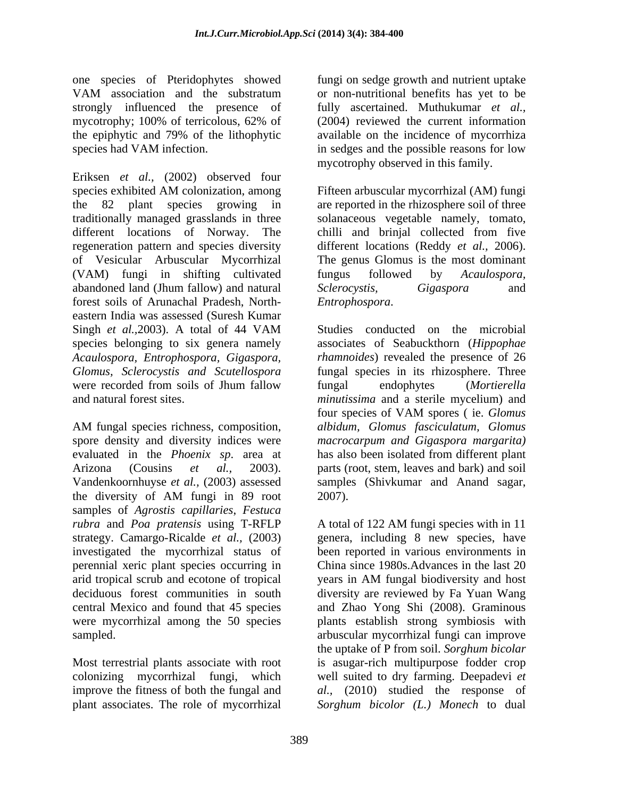one species of Pteridophytes showed fungi on sedge growth and nutrient uptake VAM association and the substratum strongly influenced the presence of fully ascertained. Muthukumar *et al.,* mycotrophy; 100% of terricolous, 62% of (2004) reviewed the current information the epiphytic and 79% of the lithophytic species had VAM infection. in sedges and the possible reasons for low

Eriksen *et al.,* (2002) observed four species exhibited AM colonization, among Fifteen arbuscular mycorrhizal (AM) fungi the 82 plant species growing in are reported in the rhizosphere soil of three traditionally managed grasslands in three solanaceous vegetable namely, tomato, different locations of Norway. The chilli and brinjal collected from five regeneration pattern and species diversity different locations (Reddy *et al.,* 2006). of Vesicular Arbuscular Mycorrhizal (VAM) fungi in shifting cultivated fungus followed by Acaulospora, abandoned land (Jhum fallow) and natural Sclerocystis, Gigaspora and forest soils of Arunachal Pradesh, North eastern India was assessed (Suresh Kumar Singh *et al.,*2003). A total of 44 VAM species belonging to six genera namely associates of Seabuckthorn (*Hippophae Acaulospora, Entrophospora, Gigaspora, rhamnoides*) revealed the presence of 26 *Glomus, Sclerocystis and Scutellospora* fungal species in its rhizosphere. Three were recorded from soils of Jhum fallow fungal endophytes (Mortierella

AM fungal species richness, composition, albidum, Glomus fasciculatum, Glomus spore density and diversity indices were evaluated in the *Phoenix sp*. area at Arizona (Cousins *et al.,* 2003). parts (root, stem, leaves and bark) and soil Vandenkoornhuyse *et al.,* (2003) assessed samples (Shivkumar and Anand sagar, the diversity of AM fungi in 89 root samples of *Agrostis capillaries*, *Festuca rubra* and *Poa pratensis* using T-RFLP strategy. Camargo-Ricalde *et al.,* (2003) genera, including 8 new species, have investigated the mycorrhizal status of perennial xeric plant species occurring in China since 1980s.Advances in the last 20 arid tropical scrub and ecotone of tropical deciduous forest communities in south diversity are reviewed by Fa Yuan Wang central Mexico and found that 45 species and Zhao Yong Shi (2008). Graminous were mycorrhizal among the 50 species plants establish strong symbiosis with

plant associates. The role of mycorrhizal *Sorghum bicolor (L.) Monech* to dual

or non-nutritional benefits has yet to be  $(2004)$  reviewed the current information available on the incidence of mycorrhiza mycotrophy observed in this family.

Fifteen arbuscular mycorrhizal (AM) fungi The genus Glomus is the most dominant fungus followed by *Acaulospora, Sclerocystis, Gigaspora* and *Entrophospora*.

and natural forest sites. *minutissima* and a sterile mycelium) and Studies conducted on the microbial fungal endophytes (*Mortierella*  four species of VAM spores ( ie. *Glomus albidum, Glomus fasciculatum, Glomus macrocarpum and Gigaspora margarita)* has also been isolated from different plant 2007).

sampled. arbuscular mycorrhizal fungi can improve Most terrestrial plants associate with root is asugar-rich multipurpose fodder crop colonizing mycorrhizal fungi, which well suited to dry farming. Deepadevi *et*  improve the fitness of both the fungal and *al.,* (2010) studied the response of A total of 122 AM fungi species with in 11 been reported in various environments in years in AM fungal biodiversity and host the uptake of P from soil. *Sorghum bicolar*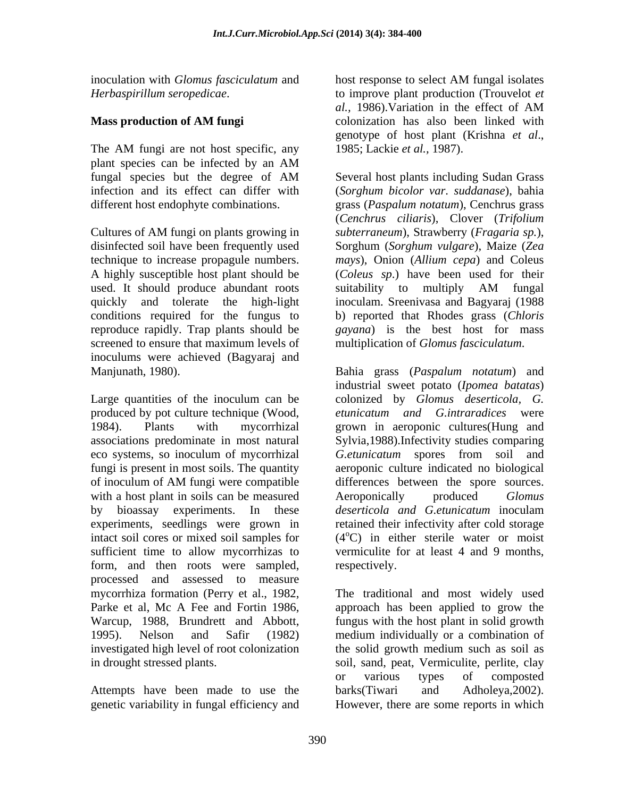inoculation with *Glomus fasciculatum* and

The AM fungi are not host specific, any 1985; Lackie et al., 1987). plant species can be infected by an AM

disinfected soil have been frequently used A highly susceptible host plant should be used. It should produce abundant roots suitability to multiply AM fungal reproduce rapidly. Trap plants should be screened to ensure that maximum levels of multiplication of *Glomus fasciculatum*. inoculums were achieved (Bagyaraj and

eco systems, so inoculum of mycorrhizal Getunicatum spores from soil and with a host plant in soils can be measured Aeroponically produced Glomus by bioassay experiments. In these *deserticola and G.etunicatum* inoculam experiments, seedlings were grown in sufficient time to allow mycorrhizas to form, and then roots were sampled, respectively. processed and assessed to measure

Attempts have been made to use the barks (Tiwari and Adholeya, 2002). genetic variability in fungal efficiency and However, there are some reports in which

*Herbaspirillum seropedicae*. to improve plant production (Trouvelot *et*  **Mass production of AM fungi** colonization has also been linked with host response to select AM fungal isolates *al.,* 1986).Variation in the effect of AM genotype of host plant (Krishna *et al*., 1985; Lackie *et al.,* 1987).

fungal species but the degree of AM Several host plants including Sudan Grass infection and its effect can differ with (*Sorghum bicolor var*. *suddanase*), bahia different host endophyte combinations. grass (*Paspalum notatum*), Cenchrus grass Cultures of AM fungi on plants growing in *subterraneum*), Strawberry (*Fragaria sp.*), technique to increase propagule numbers. *mays*), Onion (*Allium cepa*) and Coleus quickly and tolerate the high-light inoculam. Sreenivasa and Bagyaraj (1988 conditions required for the fungus to b) reported that Rhodes grass (*Chloris*  Several host plants including Sudan Grass (*Cenchrus ciliaris*), Clover (*Trifolium*  Sorghum (*Sorghum vulgare*), Maize (*Zea*  (*Coleus sp*.) have been used for their suitability to multiply AM fungal *gayana*) is the best host for mass multiplication of *Glomus fasciculatum*.

Manjunath, 1980). Bahia grass (*Paspalum notatum*) and Large quantities of the inoculum can be colonized by *Glomus deserticola, G.* produced by pot culture technique (Wood, *etunicatum and G.intraradices* were 1984). Plants with mycorrhizal grown in aeroponic cultures(Hung and associations predominate in most natural Sylvia,1988).Infectivity studies comparing fungi is present in most soils. The quantity aeroponic culture indicated no biological of inoculum of AM fungi were compatible intact soil cores or mixed soil samples for  $(4^{\circ}C)$  in either sterile water or moist industrial sweet potato (*Ipomea batatas*) *G.etunicatum* spores from soil and differences between the spore sources. Aeroponically produced *Glomus deserticola and G.etunicatum* inoculam retained their infectivity after cold storage vermiculite for at least 4 and 9 months, respectively.

mycorrhiza formation (Perry et al., 1982, The traditional and most widely used Parke et al, Mc A Fee and Fortin 1986, approach has been applied to grow the Warcup, 1988, Brundrett and Abbott, fungus with the host plant in solid growth 1995). Nelson and Safir (1982) medium individually or a combination of investigated high level of root colonization the solid growth medium such as soil as in drought stressed plants. soil, sand, peat, Vermiculite, perlite, clay or various types of composted barks(Tiwari and Adholeya,2002).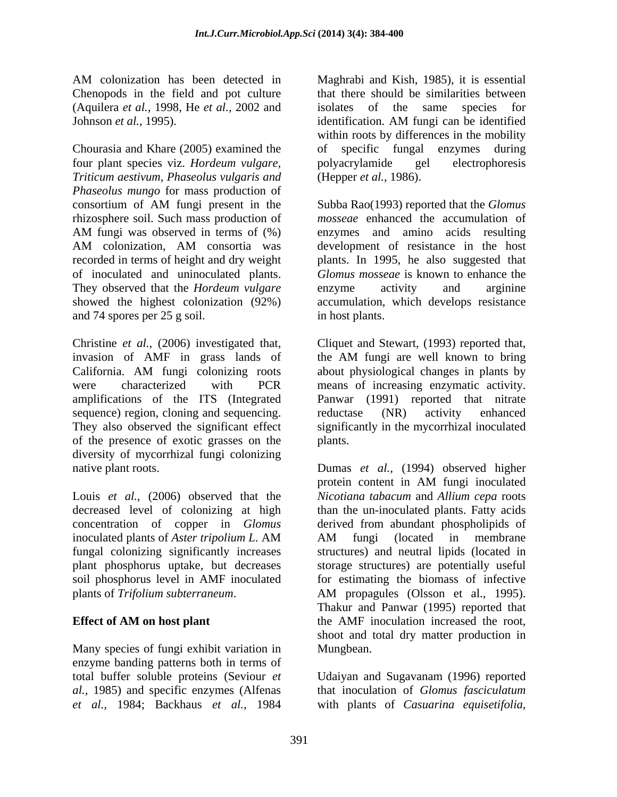Chenopods in the field and pot culture (Aquilera *et al.,* 1998, He *et al.,* 2002 and Johnson *et al.*, 1995). identification. AM fungi can be identified

Chourasia and Khare (2005) examined the four plant species viz. *Hordeum vulgare, Triticum aestivum, Phaseolus vulgaris and Phaseolus mungo* for mass production of consortium of AM fungi present in the Subba Rao(1993) reported that the *Glomus* rhizosphere soil. Such mass production of AM fungi was observed in terms of  $(\%)$  enzymes and amino acids resulting AM colonization, AM consortia was development of resistance in the host recorded in terms of height and dry weight plants. In 1995, he also suggested that of inoculated and uninoculated plants. *Glomus mosseae* is known to enhance the They observed that the *Hordeum vulgare* enzyme activity and arginine showed the highest colonization (92%) accumulation, which develops resistance and 74 spores per 25 g soil.

Christine *et al.,* (2006) investigated that, Cliquet and Stewart, (1993) reported that, invasion of AMF in grass lands of the AM fungi are well known to bring California. AM fungi colonizing roots were characterized with PCR means of increasing enzymatic activity. amplifications of the ITS (Integrated Panwar (1991) reported that nitrate sequence) region, cloning and sequencing. The reductase (NR) activity enhanced They also observed the significant effect significantly in the mycorrhizal inoculated of the presence of exotic grasses on the diversity of mycorrhizal fungi colonizing native plant roots. Dumas *et al.,* (1994) observed higher

decreased level of colonizing at high concentration of copper in *Glomus* soil phosphorus level in AMF inoculated plants of *Trifolium subterraneum*. AM propagules (Olsson et al., 1995).

Many species of fungi exhibit variation in Mungbean. enzyme banding patterns both in terms of total buffer soluble proteins (Seviour *et*  Udaiyan and Sugavanam (1996) reported *al.,* 1985) and specific enzymes (Alfenas that inoculation of *Glomus fasciculatum et al.,* 1984; Backhaus *et al.,* 1984 with plants of *Casuarina equisetifolia*,

AM colonization has been detected in Maghrabi and Kish, 1985), it is essential Maghrabi and Kish, 1985), it is essential that there should be similarities between isolates of the same species for identification. AM fungi can be identified within roots by differences in the mobility of specific fungal enzymes during polyacrylamide gel electrophoresis (Hepper *et al.,* 1986).

> Subba Rao(1993) reported that the *Glomus mosseae* enhanced the accumulation of enzymes and amino acids resulting development of resistance in the host enzyme activity and arginine in host plants.

the AM fungi are well known to bring about physiological changes in plants by reductase (NR) activity enhanced plants.

Louis *et al.,* (2006) observed that the *Nicotiana tabacum* and *Allium cepa* roots inoculated plants of *Aster tripolium L*. AM fungal colonizing significantly increases structures) and neutral lipids (located in plant phosphorus uptake, but decreases storage structures) are potentially useful **Effect of AM on host plant** the AMF inoculation increased the root, protein content in AM fungi inoculated than the un-inoculated plants. Fatty acids derived from abundant phospholipids of AM fungi (located in membrane for estimating the biomass of infective AM propagules (Olsson et al., 1995). Thakur and Panwar (1995) reported that shoot and total dry matter production in Mungbean.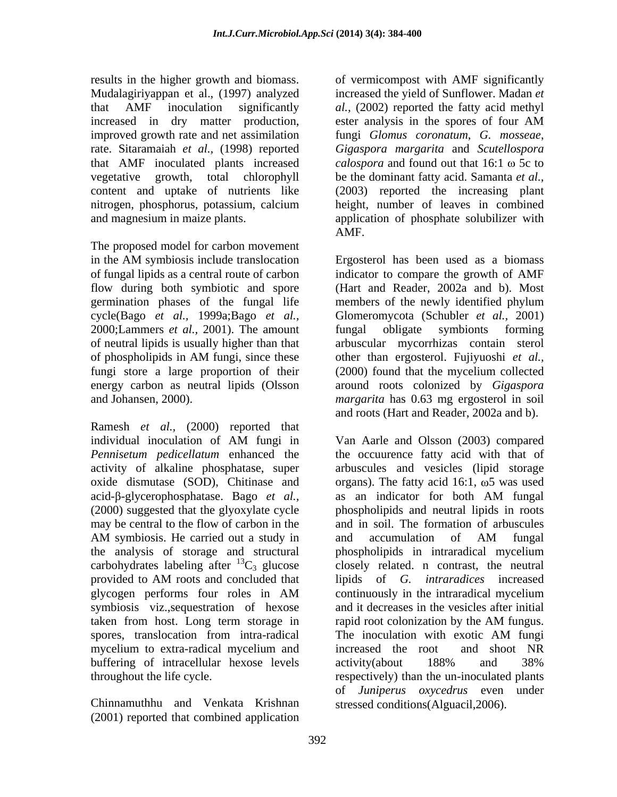results in the higher growth and biomass. increased in dry matter production, ester analysis in the spores of four AM rate. Sitaramaiah *et al.,* (1998) reported

The proposed model for carbon movement germination phases of the fungal life members of the newly identified phylum 2000;Lammers *et al.*, 2001). The amount fungal obligate symbionts forming

Ramesh *et al.,* (2000) reported that activity of alkaline phosphatase, super acid-β-glycerophosphatase. Bago *et al.*, as an indicator for both AM fungal may be central to the flow of carbon in the carbohydrates labeling after  ${}^{13}C_3$  glucose taken from host. Long term storage in rapid root colonization by the AM fungus. buffering of intracellular hexose levels activity (about 188% and 38%

Chinnamuthhu and Venkata Krishnan (2001) reported that combined application

Mudalagiriyappan et al., (1997) analyzed increased the yield of Sunflower. Madan *et*  that AMF inoculation significantly *al.,* (2002) reported the fatty acid methyl improved growth rate and net assimilation fungi *Glomus coronatum*, *G. mosseae*, that AMF inoculated plants increased calospora and found out that 16:1  $\omega$  5c to vegetative growth, total chlorophyll be the dominant fatty acid. Samanta *et al.,* content and uptake of nutrients like (2003) reported the increasing plant nitrogen, phosphorus, potassium, calcium height, number of leaves in combined and magnesium in maize plants. The application of phosphate solubilizer with of vermicompost with AMF significantly ester analysis in the spores of four AM *Gigaspora margarita* and *Scutellospora*  AMF.

in the AM symbiosis include translocation Ergosterol has been used as a biomass of fungal lipids as a central route of carbon indicator to compare the growth of AMF flow during both symbiotic and spore (Hart and Reader, 2002a and b). Most cycle(Bago *et al.,* 1999a;Bago *et al.,* Glomeromycota (Schubler *et al.,* 2001) of neutral lipids is usually higher than that arbuscular mycorrhizas contain sterol of phospholipids in AM fungi, since these other than ergosterol. Fujiyuoshi et al., fungi store a large proportion of their (2000) found that the mycelium collected energy carbon as neutral lipids (Olsson around roots colonized by *Gigaspora*  and Johansen, 2000). *margarita* has 0.63 mg ergosterol in soil members of the newly identified phylum fungal obligate symbionts forming other than ergosterol. Fujiyuoshi *et al.,* and roots (Hart and Reader, 2002a and b).

individual inoculation of AM fungi in *Pennisetum pedicellatum* enhanced the the occuurence fatty acid with that of oxide dismutase (SOD), Chitinase and organs). The fatty acid  $16:1$ ,  $\omega$ 5 was used (2000) suggested that the glyoxylate cycle phospholipids and neutral lipids in roots AM symbiosis. He carried out a study in and accumulation of AM fungal the analysis of storage and structural phospholipids in intraradical mycelium provided to AM roots and concluded that lipids of G. *intraradices* increased glycogen performs four roles in AM symbiosis viz.,sequestration of hexose and it decreases in the vesicles after initial spores, translocation from intra-radical mycelium to extra-radical mycelium and throughout the life cycle. respectively) than the un-inoculated plants Van Aarle and Olsson (2003) compared arbuscules and vesicles (lipid storage as an indicator for both AM fungal and in soil. The formation of arbuscules and accumulation of AM fungal closely related. n contrast, the neutral lipids of *G. intraradices* increased continuously in the intraradical mycelium rapid root colonization by the AM fungus. The inoculation with exotic AM fungi increased the root and shoot NR activity(about 188% and 38% of *Juniperus oxycedrus* even under stressed conditions(Alguacil,2006).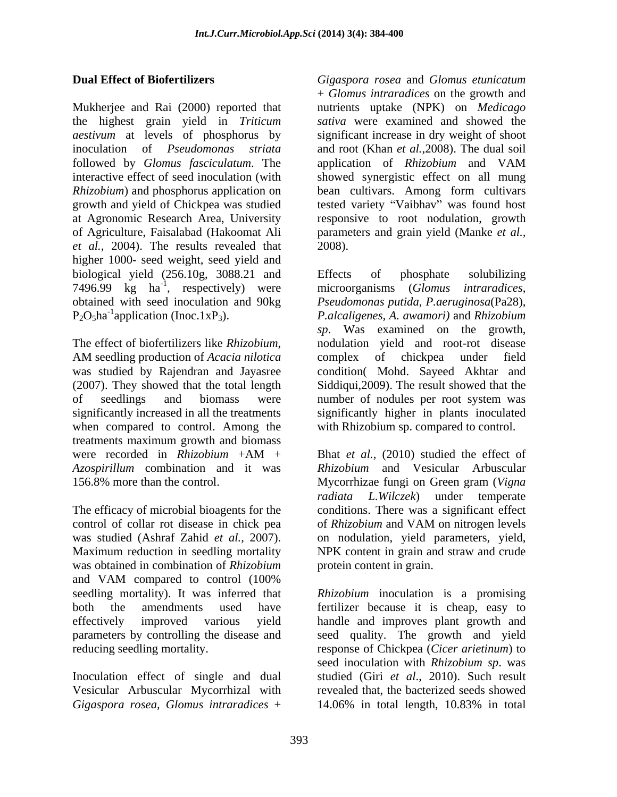Mukherjee and Rai (2000) reported that nutrients uptake (NPK) on *Medicago*  the highest grain yield in *Triticum aestivum* at levels of phosphorus by inoculation of *Pseudomonas striata* and root (Khan *et al.*,2008). The dual soil followed by *Glomus fasciculatum*. The interactive effect of seed inoculation (with showed synergistic effect on all mung *Rhizobium*) and phosphorus application on bean cultivars. Among form cultivars growth and yield of Chickpea was studied at Agronomic Research Area, University responsive to root nodulation, growth of Agriculture, Faisalabad (Hakoomat Ali parameters and grain yield (Manke *et al., et al.,* 2004). The results revealed that higher 1000- seed weight, seed yield and biological yield (256.10g, 3088.21 and Effects of phosphate solubilizing 7496.99 kg ha<sup>-1</sup>, respectively) were microorganisms (Glomus intraradices, obtained with seed inoculation and 90kg *Pseudomonas putida*, *P.aeruginosa*(Pa28),

when compared to control. Among the treatments maximum growth and biomass were recorded in *Rhizobium* +AM + Bhat *et al.*, (2010) studied the effect of *Azospirillum* combination and it was 156.8% more than the control. Mycorrhizae fungi on Green gram (Vigna

The efficacy of microbial bioagents for the conditions. There was a significant effect control of collar rot disease in chick pea of *Rhizobium* and VAM on nitrogen levels was studied (Ashraf Zahid *et al.,* 2007). on nodulation, yield parameters, yield, Maximum reduction in seedling mortality NPK content in grain and straw and crude was obtained in combination of *Rhizobium*  and VAM compared to control (100%

Inoculation effect of single and dual *Gigaspora rosea, Glomus intraradices* +

**Dual Effect of Biofertilizers** *Gigaspora rosea* and *Glomus etunicatum* + *Glomus intraradices* on the growth and *sativa* were examined and showed the significant increase in dry weight of shoot application of *Rhizobium* and VAM tested variety "Vaibhav" was found host 2008).

, respectively) were microorganisms (*Glomus intraradices*, P2O5ha-1 application (Inoc.1xP3). *P.alcaligenes, A. awamori)* and *Rhizobium*  The effect of biofertilizers like *Rhizobium*, and modulation yield and root-rot disease<br>AM seedling production of *Acacia nilotica* complex of chickpea under field was studied by Rajendran and Jayasree condition( Mohd. Sayeed Akhtar and (2007). They showed that the total length Siddiqui,2009). The result showed that the of seedlings and biomass were numberof nodules per root system was significantly increased in all the treatments significantly higher in plants inoculated Effects of phosphate solubilizing *sp*. Was examined on the growth, nodulation yield and root-rot disease complex of chickpea under field with Rhizobium sp. compared to control.

> Bhat *et al.,* (2010) studied the effect of *Rhizobium* and Vesicular Arbuscular Mycorrhizae fungi on Green gram (*Vigna radiata L.Wilczek*) under temperate protein content in grain.

seedling mortality). It was inferred that *Rhizobium* inoculation is a promising both the amendments used have fertilizer because it is cheap, easy to effectively improved various yield handle and improves plant growth and parameters by controlling the disease and seed quality. The growth and yield reducing seedling mortality. response of Chickpea (*Cicer arietinum*) to Vesicular Arbuscular Mycorrhizal with revealed that, the bacterized seeds showed seed inoculation with *Rhizobium sp*. was studied (Giri *et al*., 2010). Such result 14.06% in total length, 10.83% in total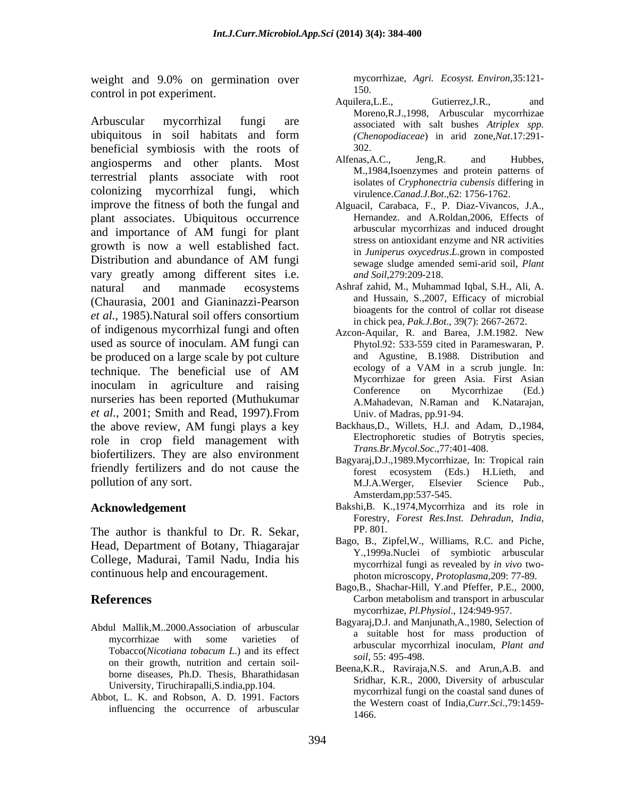weight and 9.0% on germination over mycommunically metal-<br>approximant and the synchron metal-<br>150. control in pot experiment.<br>Aquilera.L.E.. Gutierrez.J.R.. and

Arbuscular mycorrhizal fungi are associated with salt bushes *Atriplex spp.* ubiquitous in soil habitats and form (Chenopodiaceae) in arid zone, Nat. 17:291beneficial symbiosis with the roots of  $\frac{302}{4}$ .<br>
beneficial symbiosis with the roots of  $\frac{302}{4}$ .<br>
Alfenas, A.C., Jeng, R. and Hubbes, angiosperms and other plants. Most terrestrial plants associate with root colonizing mycorrhizal fungi, which improve the fitness of both the fungal and plant associates. Ubiquitous occurrence and importance of AM fungi for plant arbuscular mycorrhizas and induced drought growth is now a well established fact. Distribution and abundance of AM fungi<br>sewage sludge amended semi-arid soil. Plant vary greatly among different sites i.e. natural and manmade ecosystems Ashraf zahid, M., Muhammad Iqbal, S.H., Ali, A. (Chaurasia, 2001 and Gianinazzi-Pearson *et al.*, 1985). Natural soil offers consortium<br>in chick pea, *Pak I Bot*, 39(7): 2667-2672 of indigenous mycorrhizal fungi and often used as source of inoculam. AM fungi can Phytol.92: 533-559 cited in Parameswaran, P. be produced on a large scale by pot culture and Agustine, B.1988. Distribution and technique. The heneficial use of AM a ecology of a VAM in a scrub jungle. In: technique. The beneficial use of AM a secology of a VAM in a scrub jungle. In: inoculam in agriculture and raising and myconinzation given Asia. This Asian in agriculture and raising conference on Mycorrhizae (Ed.) nurseries has been reported (Muthukumar A.Mahadevan, N.Raman and K.Natarajan, *et al.,* 2001; Smith and Read, 1997).From the above review, AM fungi plays a key role in crop field management with biofertilizers. They are also environment friendly fertilizers and do not cause the forest ecosystem (Eds.) H.Lieth, and pollution of any sort. The method of the method of any sort. The method of the method of any sort.

The author is thankful to Dr. R. Sekar, PP. 801. Head, Department of Botany, Thiagarajar College, Madurai, Tamil Nadu, India his

- Abdul Mallik,M..2000.Association of arbuscular on their growth, nutrition and certain soil-<br> $S_0$   $\ddot{S}_1$ ,  $S_2$ ,  $S_3$ ,  $S_4$ ,  $S_5$ ,  $S_6$ ,  $S_7$ ,  $S_8$ ,  $S_7$ ,  $S_8$ ,  $S_8$ ,  $S_9$ ,  $S_8$ ,  $S_9$ ,  $S_9$ ,  $S_9$ ,  $S_9$ ,  $S_9$ ,  $S_9$ ,  $S_9$ ,  $S_9$ ,  $S_9$ ,  $S_9$ ,  $S_9$ borne diseases, Ph.D. Thesis, Bharathidasan University, Tiruchirapalli,S.india,pp.104.
- Abbot, L. K. and Robson, A. D. 1991. Factors influencing the occurrence of arbuscular

mycorrhizae, *Agri. Ecosyst. Environ*,35:121- 150.

- Aquilera, L.E., Gutierrez, J.R., and Moreno,R.J.,1998, Arbuscular mycorrhizae *(Chenopodiaceae*) in arid zone,*Nat*.17:291- 302.
- Alfenas,A.C., Jeng,R. and Hubbes, M.,1984,Isoenzymes and protein patterns of isolates of *Cryphonectria cubensis* differing in virulence.*Canad.J.Bot*.,62: 1756-1762.
- Alguacil, Carabaca, F., P. Diaz-Vivancos, J.A., Hernandez. and A.Roldan,2006, Effects of arbuscular mycorrhizas and induced drought stress on antioxidant enzyme and NR activities in *Juniperus oxycedrus*.*L*.grown in composted sewage sludge amended semi-arid soil, *Plant and Soil*,279:209-218.
- and Hussain, S.,2007, Efficacy of microbial bioagents for the control of collar rot disease in chick pea, *Pak.J.Bot*., 39(7): 2667-2672.
- Azcon-Aquilar, R. and Barea, J.M.1982. New Phytol.92: 533-559 cited in Parameswaran, P. and Agustine, B.1988. Distribution and ecology of a VAM in a scrub jungle. In: Mycorrhizae for green Asia. First Asian Conference on Mycorrhizae (Ed.) A.Mahadevan, N.Raman and K.Natarajan, Univ. of Madras, pp.91-94.
- Backhaus,D., Willets, H.J. and Adam, D.,1984, Electrophoretic studies of Botrytis species, *Trans.Br.Mycol.Soc*.,77:401-408.
- Bagyaraj,D.J.,1989.Mycorrhizae, In: Tropical rain forest ecosystem (Eds.) H.Lieth, and M.J.A.Werger, Elsevier Science Pub., Amsterdam,pp:537-545.
- **Acknowledgement** Bakshi,B. K.,1974,Mycorrhiza and its role in Forestry, Forest Res.Inst. Dehradun, India,
- continuous help and encouragement. photon microscopy, *Protoplasma*,209: 77-89. Bago, B., Zipfel,W., Williams, R.C. and Piche, Y.,1999a.Nuclei of symbiotic arbuscular mycorrhizal fungi as revealed by *in vivo* two-
- **References** Carbon metabolism and transport in arbuscular Bago,B., Shachar-Hill, Y.and Pfeffer, P.E., 2000, Carbon metabolism and transport in arbuscular mycorrhizae, *Pl.Physiol*., 124:949-957.
	- mycorrhizae with some varieties of  $\alpha$  summarized in  $\alpha$  summarized in  $\alpha$  summarized in  $\alpha$  summarized in  $\alpha$ Tobacco(*Nicotiana tobacum L*.) and its effect Bagyaraj,D.J. and Manjunath,A.,1980, Selection of a suitable host for mass production of arbuscular mycorrhizal inoculam, *Plant and soil*, 55: 495-498.
		- Beena,K.R., Raviraja,N.S. and Arun,A.B. and Sridhar, K.R., 2000, Diversity of arbuscular mycorrhizal fungi on the coastal sand dunes of the Western coast of India,*Curr.Sci*.,79:1459- 1466.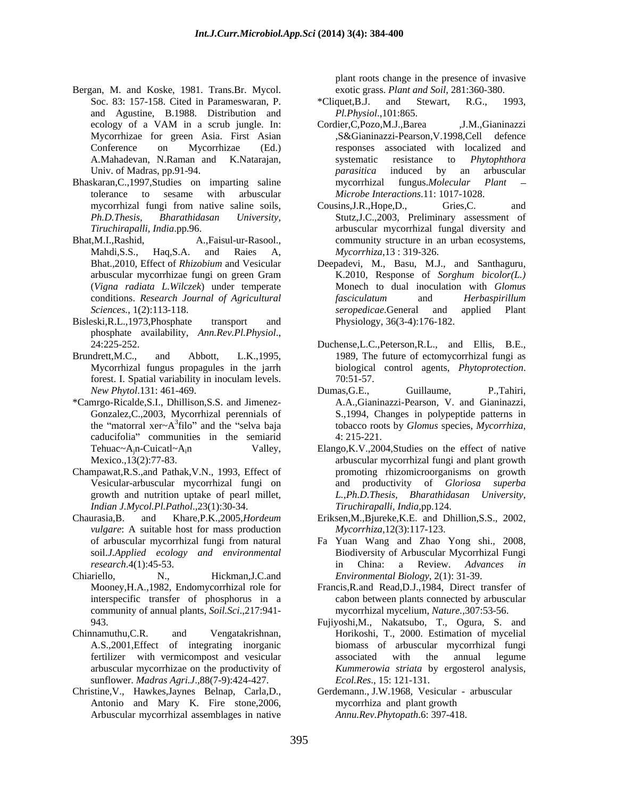- Bergan, M. and Koske, 1981. Trans.Br. Mycol. and Agustine, B.1988. Distribution and Mycorrhizae for green Asia. First Asian
- Bhaskaran,C.,1997,Studies on imparting saline
- 
- phosphate availability, *Ann.Rev.Pl.Physiol*.,<br>24:225-252. Duchense,L.C.,Peterson,R.L., and Ellis, B.E.,
- Brundrett,M.C., and Abbott, L.K.,1995, 1989, The future of ectomycorrhizal fungi as
- \*Camrgo-Ricalde,S.I., Dhillison,S.S. and Jimenez caducifolia" communities in the semiarid 4: 215-221.
- Champawat,R.S.,and Pathak,V.N., 1993, Effect of Vesicular-arbuscular mycorrhizal fungi on *Indian J.Mycol.Pl.Pathol*.,23(1):30-34.
- Chaurasia,B. and Khare,P.K.,2005,*Hordeum*  Eriksen,M.,Bjureke,K.E. and Dhillion,S.S., 2002, *vulgare*: A suitable host for mass production
- Chiariello, N., Hickman,J.C.and *Environmental Biology*, 2(1): 31-39. community of annual plants, *Soil.Sci*.,217:941-
- Chinnamuthu,C.R. and Vengatakrishnan, Horikoshi, T., 2000. Estimation of mycelial sunflower. *Madras Agri.J*.,88(7-9):424-427.
- Christine,V., Hawkes,Jaynes Belnap, Carla,D., Antonio and Mary K. Fire stone,2006, Arbuscular mycorrhizal assemblages in native

plant roots change in the presence of invasive exotic grass. *Plant and Soil*, 281:360-380.

- Soc. 83: 157-158. Cited in Parameswaran, P.  $*$ Cliquet, B.J. and Stewart, R.G., 1993, \*Cliquet,B.J. and Stewart, R.G., 1993, *Pl.Physiol*.,101:865.
- ecology of a VAM in a scrub jungle. In: Conference on Mycorrhizae (Ed.) responses associated with localized and A.Mahadevan, N.Raman and K.Natarajan, systematic resistance to *Phytophthora* Univ. of Madras, pp.91-94. The contract of Madras, pp.91-94. tolerance to sesame with arbuscular *Microbe Interactions*.11: 1017-1028. Cordier, C, Pozo, M.J., Barea ,J.M., Gianinazzi ,S&Gianinazzi-Pearson,V.1998,Cell defence systematic resistance to *Phytophthora parasitica* induced by an arbuscular mycorrhizal fungus.*Molecular Plant*
- mycorrhizal fungi from native saline soils, Cousins, J.R., Hope, D., Gries, C. and *Ph.D.Thesis, Bharathidasan University,* Stutz,J.C.,2003, Preliminary assessment of *Tiruchirapalli, India*.pp.96. arbuscular mycorrhizal fungal diversity and Bhat,M.I.,Rashid, **A.,Faisul-ur-Rasool.**, community structure in an urban ecosystems, Mahdi, S.S., Haq, S.A. and Raies A, *Mycorrhiza*, 13: 319-326. Cousins,J.R.,Hope,D., Gries,C. and *Mycorrhiza*,13 : 319-326.
- Bhat.,2010, Effect of *Rhizobium* and Vesicular Deepadevi, M., Basu, M.J., and Santhaguru, arbuscular mycorrhizae fungi on green Gram K.2010, Response of Sorghum bicolor(L.) (*Vigna radiata L.Wilczek*) under temperate Monech to dual inoculation with *Glomus*  conditions. *Research Journal of Agricultural Sciences.*, 1(2):113-118. The serve of the serve of the serve of the serve of the serve of the serve of the serve of the serve of the serve of the serve of the serve of the serve of the serve of the serve of the serve of Bisleski,R.L.,1973,Phosphate transport and Physiology, 36(3-4):176-182. K.2010, Response of *Sorghum bicolor(L.) fasciculatum* and *Herbaspirillum seropedicae*.General and applied Plant Physiology, 36(3-4):176-182.
	- Mycorrhizal fungus propagules in the jarrh biological control agents, *Phytoprotection*. 70:51-57. forest. I. Spatial variability in inoculam levels.  $70:51-57$ .
	- *New Phytol*.131: 461-469. Gonzalez,C.,2003, Mycorrhizal perennials of S.,1994, Changes in polypeptide patterns in the "matorral xer $\sim A^3$  filo" and the "selva baja tobacco roots by *Glomus* species, Mycorrhiza, Dumas,G.E., Guillaume, P.,Tahiri, A.A.,Gianinazzi-Pearson, V. and Gianinazzi, tobacco roots by *Glomus* species, *Mycorrhiza*, 4: 215-221.
	- Tehuac~A<sub>j</sub>n-Cuicatl~A<sub>i</sub>n Valley, Elango,K.V.,2004,Studies on the effect of native Mexico.,13(2):77-83. arbuscular mycorrhizal fungi and plant growth growth and nutrition uptake of pearl millet, *L.,Ph.D.Thesis, Bharathidasan University,* promoting rhizomicroorganisms on growth and productivity of *Gloriosa superba Tiruchirapalli, India*,pp.124.
		- *Mycorrhiza,*12(3):117-123.
	- of arbuscular mycorrhizal fungi from natural Fa Yuan Wang and Zhao Yong shi., 2008, soil.*J.Applied ecology and environmental* Biodiversity of Arbuscular Mycorrhizal Fungi *research*.4(1):45-53. in China: a Review. *Advances in*
	- Mooney,H.A.,1982, Endomycorrhizal role for Francis,R.and Read,D.J.,1984, Direct transfer of interspecific transfer of phosphorus in a cabon between plants connected by arbuscular mycorrhizal mycelium, *Nature.*,307:53-56.
	- 943. Fujiyoshi,M., Nakatsubo, T., Ogura, S. and A.S.,2001,Effect of integrating inorganic biomass of arbuscular mycorrhizal fungi fertilizer with vermicompost and vesicular arbuscular mycorrhizae on the productivity of *Kummerowia striata* by ergosterol analysis, associated with the annual legume *Ecol.Res*., 15: 121-131.
		- Gerdemann., J.W.1968, Vesicular arbuscular mycorrhiza and plant growth *Annu.Rev.Phytopath*.6: 397-418.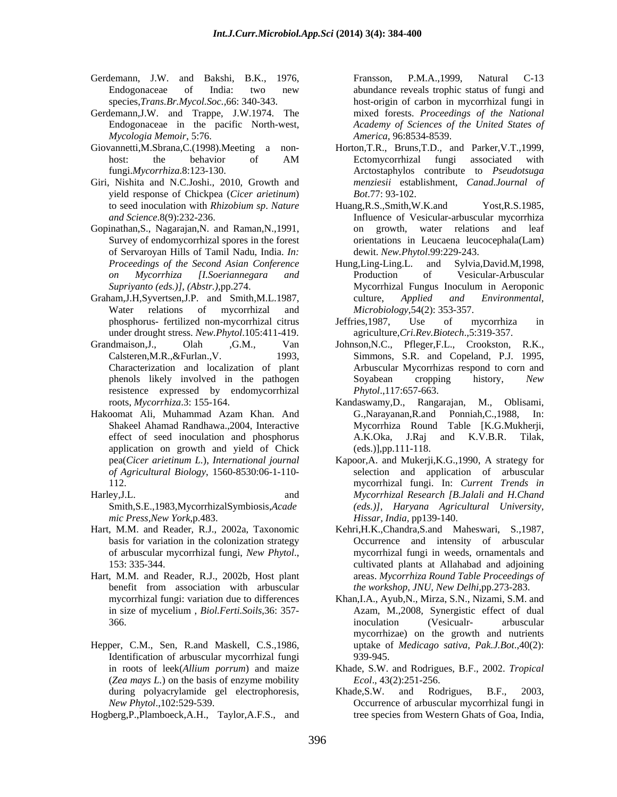- Gerdemann, J.W. and Bakshi, B.K., 1976, Fransson, P.M.A., 1999, Natural C-13
- Gerdemann,J.W. and Trappe, J.W.1974. The *Mycologia Memoir*, 5:76.
- 
- Giri, Nishita and N.C.Joshi., 2010, Growth and yield response of Chickpea (*Cicer arietinum*)
- Gopinathan,S., Nagarajan,N. and Raman,N.,1991, of Servaroyan Hills of Tamil Nadu, India. *In:*
- under drought stress. *New.Phytol*.105:411-419.
- resistence expressed by endomycorrhizal
- application on growth and yield of Chick
- Smith,S.E.,1983,MycorrhizalSymbiosis,*Acade mic Press,New York*,p.483.
- 
- Hart, M.M. and Reader, R.J., 2002b, Host plant benefit from association with arbuscular
- Hepper, C.M., Sen, R.and Maskell, C.S.,1986, Identification of arbuscular mycorrhizal fungi (*Zea mays L.*) on the basis of enzyme mobility during polyacrylamide gel electrophoresis, Khade, S.W. and Rodrigues, B.F., 2003,

Hogberg,P.,Plamboeck,A.H., Taylor,A.F.S., and

Endogonaceae of India: two new species,*Trans.Br.Mycol.Soc.,*66: 340-343. host-origin of carbon in mycorrhizal fungi in Endogonaceae in the pacific North-west, *Academy of Sciences of the United States of* Fransson, P.M.A.,1999, Natural C-13 abundance reveals trophic status of fungi and mixed forests. *Proceedings of the National America,* 96:8534-8539.

- Giovannetti,M.Sbrana,C.(1998).Meeting a non- Horton,T.R., Bruns,T.D., and Parker,V.T.,1999, host: the behavior of AM Ectomycorrhizal fungi associated with fungi.*Mycorrhiza*.8:123-130. Arctostaphylos contribute to *Pseudotsuga*  Ectomycorrhizal fungi associated with *menziesii* establishment, *Canad.Journal of Bot*.77: 93-102.
	- to seed inoculation with *Rhizobium sp*. *Nature and Science*.8(9):232-236. Influence of Vesicular-arbuscular mycorrhiza Survey of endomycorrhizal spores in the forest orientations in Leucaena leucocephala(Lam) Huang,R.S.,Smith,W.K.and Yost,R.S.1985, growth, water relations and leaf dewit. *New.Phytol*.99:229-243.
- *Proceedings of the Second Asian Conference on Mycorrhiza [I.Soeriannegara and Supriyanto (eds.)], (Abstr.)*,pp.274. Graham,J.H,Syvertsen,J.P. and Smith,M.L.1987, eulture, Applied and Environmental, Water relations of mycorrhizal and *Microbiology*, 54(2): 353-357. Hung,Ling-Ling.L. and Sylvia,David.M,1998, Production of Vesicular-Arbuscular Mycorrhizal Fungus Inoculum in Aeroponic culture, *Applied and Environmental*, *Microbiology*,54(2): 353-357.
	- phosphorus- fertilized non-mycorrhizal citrus Jeffries,1987, Use of mycorrhiza in agriculture,*Cri.Rev.Biotech*.,5:319-357.
- Grandmaison,J., Olah ,G.M., Van Johnson,N.C., Pfleger,F.L., Crookston, R.K., Calsteren,M.R.,&Furlan.,V. 1993, Simmons, S.R. and Copeland, P.J. 1995, Characterization and localization of plant Arbuscular Mycorrhizas respond to corn and phenols likely involved in the pathogen Sovabean cropping history, New Soyabean cropping history, *New Phytol*.,117:657-663.
- roots, *Mycorrhiza*.3: 155-164. Kandaswamy,D., Rangarajan, M., Oblisami, Hakoomat Ali, Muhammad Azam Khan. And Shakeel Ahamad Randhawa.,2004, Interactive Mycorrhiza Round Table [K.G.Mukherji, effect of seed inoculation and phosphorus and A.K.Oka, J.Raj and K.V.B.R. Tilak, G.,Narayanan,R.and Ponniah,C.,1988, In: A.K.Oka, J.Raj and K.V.B.R. Tilak, (eds.)],pp.111-118.
- pea(*Cicer arietinum L.*), *International journal* Kapoor,A. and Mukerji,K.G.,1990, A strategy for *of Agricultural Biology*, 1560-8530:06-1-110- selection and application of arbuscular 112. mycorrhizal fungi. In: *Current Trends in* Harley,J.L. and *Mycorrhizal Research [B.Jalali and H.Chand (eds.)], Haryana Agricultural University, Hissar, India,* pp139-140.
- Hart, M.M. and Reader, R.J., 2002a, Taxonomic Kehri,H.K.,Chandra,S.and Maheswari, S.,1987, basis for variation in the colonization strategy Occurrence and intensity of arbuscular of arbuscular mycorrhizal fungi, *New Phytol*., 153: 335-344. mycorrhizal fungi in weeds, ornamentals and cultivated plants at Allahabad and adjoining areas. *Mycorrhiza Round Table Proceedings of the workshop, JNU, New Delhi*,pp.273-283.
	- mycorrhizal fungi: variation due to differences Khan,I.A., Ayub,N., Mirza, S.N., Nizami, S.M. and in size of mycelium , *Biol.Ferti.Soils*,36: 357- Azam, M.,2008, Synergistic effect of dual 366. The set of the set of the set of the set of the set of the set of the set of the set of the set of the set of the set of the set of the set of the set of the set of the set of the set of the set of the set of the set inoculation (Vesicualr- arbuscular mycorrhizae) on the growth and nutrients uptake of *Medicago sativa*, *Pak.J.Bot*.,40(2): 939-945.
	- in roots of leek(*Allium porrum*) and maize Khade, S.W. and Rodrigues, B.F., 2002. *Tropical Ecol*., 43(2):251-256.
	- *New Phytol*.,102:529-539. Occurrence of arbuscular mycorrhizal fungi in Khade,S.W. and Rodrigues, B.F., 2003, tree species from Western Ghats of Goa, India,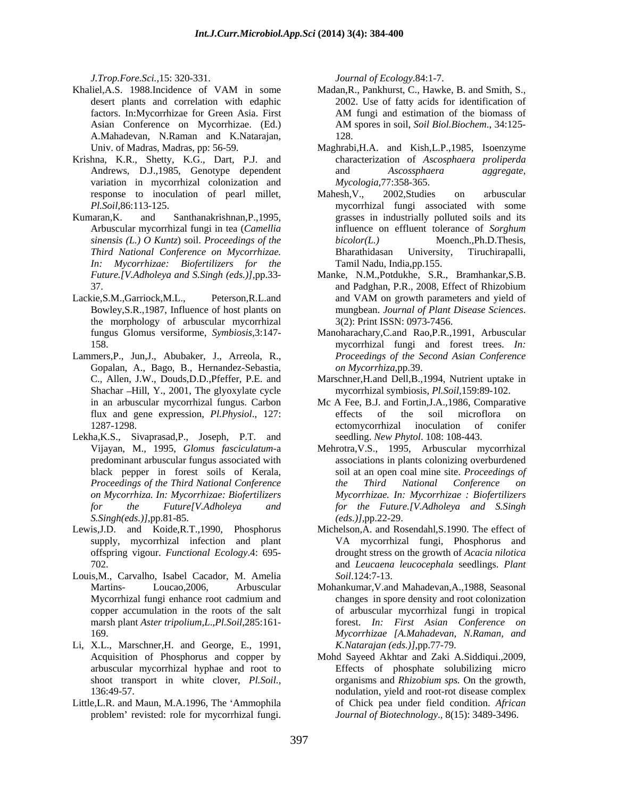*J.Trop.Fore.Sci.,*15: 320-331.

- A.Mahadevan, N.Raman and K.Natarajan,
- Krishna, K.R., Shetty, K.G., Dart, P.J. and variation in mycorrhizal colonization and
- Kumaran,K. and Santhanakrishnan,P.,1995, grasses in industrially polluted soils and its *sinensis (L.) O Kuntz*) soil. *Proceedings of the In: Mycorrhizae: Biofertilizers for the*
- the morphology of arbuscular mycorrhizal 3(2): Print ISSN: 0973-7456.<br>
fungus Glomus versiforme, *Symbiosis*, 3:147- Manoharachary, C.and Rao, P.R., 1
- Lammers,P., Jun,J., Abubaker, J., Arreola, R., Gopalan, A., Bago, B., Hernandez-Sebastia, Shachar Hill, Y., 2001, The glyoxylate cycle
- Lekha,K.S., Sivaprasad,P., Joseph, P.T. and *S.Singh(eds.)]*,pp.81-85.
- Lewis,J.D. and Koide,R.T.,1990, Phosphorus Michelson,A. and Rosendahl,S.1990. The effect of
- Louis, M., Carvalho, Isabel Cacador, M. Amelia Soil.124:7-13.
- Li, X.L., Marschner,H. and George, E., 1991,
- Little, L.R. and Maun, M.A.1996, The 'Ammophila problem' revisted: role for mycorrhizal fungi.

*Journal of Ecology*.84:1-7.

- Khaliel, A.S. 1988. Incidence of VAM in some Madan, R., Pankhurst, C., Hawke, B. and Smith, S., desert plants and correlation with edaphic 2002. Use of fatty acids for identification of factors. In:Mycorrhizae for Green Asia. First Asian Conference on Mycorrhizae. (Ed.) AM spores in soil, Soil Biol. Biochem., 34:125-Madan,R., Pankhurst, C., Hawke, B. and Smith, S., AM fungi and estimation of the biomass of AM spores in soil, *Soil Biol.Biochem*., 34:125- 128.
	- Univ. of Madras, Madras, pp: 56-59. Maghrabi,H.A. and Kish,L.P.,1985, Isoenzyme Andrews, D.J.,1985, Genotype dependent and Ascossphaera aggregate, characterization of *Ascosphaera proliperda* and *Ascossphaera aggregate*, *Mycologia*,77:358-365.
	- response to inoculation of pearl millet, Mahesh, V., 2002, Studies on arbuscular *Pl.Soil*,86:113-125. mycorrhizal fungi associated with some Arbuscular mycorrhizal fungi in tea (*Camellia*  influence on effluent tolerance of *Sorghum Third National Conference on Mycorrhizae.* Mahesh,V., 2002,Studies on arbuscular *bicolor(L.)* Moench.,Ph.D.Thesis, Bharathidasan University, Tiruchirapalli, Tamil Nadu, India,pp.155.
- *Future.[V.Adholeya and S.Singh (eds.)],*pp.33- Manke, N.M.,Potdukhe, S.R., Bramhankar,S.B. 37. and Padghan, P.R., 2008, Effect of Rhizobium Lackie, S.M., Garriock, M.L., Peterson, R.L. and and VAM on growth parameters and yield of Bowley, S.R., 1987, Influence of host plants on mungbean. Journal of Plant Disease Sciences. and Padghan, P.R., 2008, Effect of Rhizobium and VAM on growth parameters and yield of mungbean. *Journal of Plant Disease Sciences*. 3(2): Print ISSN: 0973-7456.
	- fungus Glomus versiforme, *Symbiosis*,3:147- Manoharachary,C.and Rao,P.R.,1991, Arbuscular 158. mycorrhizal fungi and forest trees. *In: Proceedings of the Second Asian Conference on Mycorrhiza*,pp.39.
	- C., Allen, J.W., Douds,D.D.,Pfeffer, P.E. and Marschner,H.and Dell,B.,1994, Nutrient uptake in mycorrhizal symbiosis, *Pl.Soil*,159:89-102.
	- in an arbuscular mycorrhizal fungus. Carbon Mc A Fee, B.J. and Fortin,J.A.,1986, Comparative flux and gene expression, *Pl.Physiol*., 127: 1287-1298. ectomycorrhizal inoculation of conifer effects of the soil microflora on ectomycorrhizal inoculation of conifer seedling. *New Phytol*. 108: 108-443.
	- Vijayan, M., 1995, *Glomus fasciculatum*-a Mehrotra,V.S., 1995, Arbuscular mycorrhizal predominant arbuscular fungus associated with associations in plants colonizing overburdened black pepper in forest soils of Kerala, soil at an open coal mine site. *Proceedings of Proceedings of the Third National Conference on Mycorrhiza. In: Mycorrhizae: Biofertilizers Mycorrhizae. In: Mycorrhizae : Biofertilizers for the Future[V.Adholeya and for the Future.[V.Adholeya and S.Singh the Third National Conference on (eds.)],*pp.22-29.
	- supply, mycorrhizal infection and plant VA mycorrhizal fungi, Phosphorus and offspring vigour. *Functional Ecology*.4: 695- drought stress on the growth of *Acacia nilotica* 702. and *Leucaena leucocephala* seedlings. *Plant Soil*.124:7-13.
	- Martins- Loucao,2006, Arbuscular Mohankumar,V.and Mahadevan,A.,1988, Seasonal Mycorrhizal fungi enhance root cadmium and copper accumulation in the roots of the salt of arbuscular mycorrhizal fungi in tropical marsh plant *Aster tripolium,L*.,*Pl.Soil*,285:161- forest. *In: First Asian Conference on* 169. *Mycorrhizae [A.Mahadevan, N.Raman, and* changes in spore density and root colonization *K.Natarajan (eds.)],*pp.77-79.
	- Acquisition of Phosphorus and copper by Mohd Sayeed Akhtar and Zaki A.Siddiqui.,2009, arbuscular mycorrhizal hyphae and root to Effects of phosphate solubilizing micro shoot transport in white clover, *Pl.Soil.,* organisms and *Rhizobium sps.* On the growth, 136:49-57. nodulation, yield and root-rot disease complex of Chick pea under field condition. *African Journal of Biotechnology*., 8(15): 3489-3496.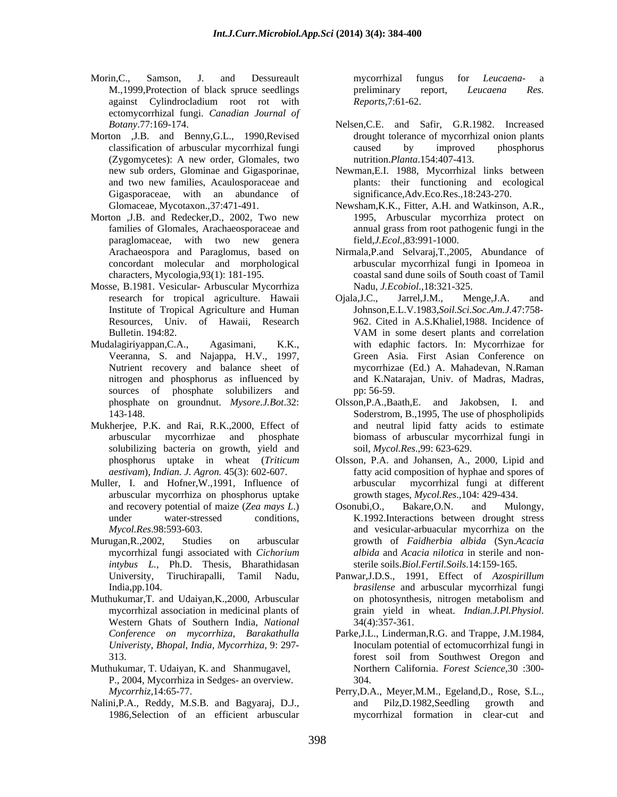- Morin, C., Samson, J. and Dessureault mycorrhizal fungus for *Leucaena* a M.,1999,Protection of black spruce seedlings breliminary report, *Leucaena Res.* against Cylindrocladium root rot with ectomycorrhizal fungi. *Canadian Journal of*
- Morton ,J.B. and Benny,G.L., 1990,Revised (Zygomycetes): A new order, Glomales, two Gigasporaceae, with an abundance of
- Morton ,J.B. and Redecker,D., 2002, Two new paraglomaceae, with two new genera
- Mosse, B.1981. Vesicular- Arbuscular Mycorrhiza Nadu, *J. Ecobiol.*, 18:32<br>research for tropical agriculture. Hawaii Ojala, J.C., Jarrel, J.M.,
- Veeranna, S. and Najappa, H.V., 1997, sources of phosphate solubilizers and pp: 56-59.
- Mukherjee, P.K. and Rai, R.K.,2000, Effect of solubilizing bacteria on growth, yield and
- Muller, I. and Hofner,W.,1991, Influence of arbuscular mycorrhiza on phosphorus uptake
- mycorrhizal fungi associated with *Cichorium intybus L.,* Ph.D. Thesis, Bharathidasan
- Western Ghats of Southern India, *National*
- Muthukumar, T. Udaiyan, K. and Shanmugavel, P., 2004, Mycorrhiza in Sedges- an overview.
- 

mycorrhizal fungus for *Leucaena*- a preliminary report, *Leucaena Res. Reports*,7:61-62.

- *Botany*.77:169-174. Nelsen,C.E. and Safir, G.R.1982. Increased classification of arbuscular mycorrhizal fungi drought tolerance of mycorrhizal onion plants caused by improved phosphorus nutrition.*Planta*.154:407-413.
- new sub orders, Glominae and Gigasporinae, Newman,E.I. 1988, Mycorrhizal links between and two new families, Acaulosporaceae and plants: their functioning and ecological significance,Adv.Eco.Res.,18:243-270.
- Glomaceae, Mycotaxon.,37:471-491. Newsham,K.K., Fitter, A.H. and Watkinson, A.R., families of Glomales, Arachaeosporaceae and 1995, Arbuscular mycorrhiza protect on annual grass from root pathogenic fungi in the field,*J.Ecol.*,83:991-1000.
- Arachaeospora and Paraglomus, based on Nirmala,P.and Selvaraj,T.,2005, Abundance of concordant molecular and morphological arbuscular mycorrhizal fungi in Ipomeoa in characters, Mycologia,93(1): 181-195. coastal sand dune soils of South coast of Tamil Nadu, *J.Ecobiol*.,18:321-325.
- research for tropical agriculture. Hawaii Ojala, J.C., Jarrel, J.M., Menge, J.A. and<br>Institute of Tropical Agriculture and Human Johnson, E.L.V. 1983, Soil. Soi. Soc. Am. J. 47: 758-Institute of Tropical Agriculture and Human Johnson,E.L.V.1983,*Soil.Sci.Soc.Am.J.*47:758- Resources, Univ. of Hawaii, Research 962. Cited in A.S.Khaliel,1988. Incidence of Bulletin. 194:82. Sulletin. 194:82. Mudalagiriyappan,C.A., Agasimani, K.K., with edaphic factors. In: Mycorrhizae for Nutrient recovery and balance sheet of mycorrhizae (Ed.) A. Mahadevan, N.Raman nitrogen and phosphorus as influenced by and K.Natarajan, Univ. of Madras, Madras, Ojala,J.C., Jarrel,J.M., Menge,J.A. and VAM in some desert plants and correlation Green Asia. First Asian Conference on pp: 56-59.
	- phosphate on groundnut. *Mysore.J.Bot*.32: 143-148. Soderstrom, B.,1995, The use of phospholipids arbuscular mycorrhizae and phosphate biomass of arbuscular mycorrhizal fungi in Olsson, P.A., Baath, E. and Jakobsen, I. and neutral lipid fatty acids to estimate soil, *Mycol.Res*.,99: 623-629.
	- phosphorus uptake in wheat (*Triticum* Olsson, P.A. and Johansen, A., 2000, Lipid and *aestivam*), *Indian. J. Agron.* 45(3): 602-607. **Fatty acid composition of hyphae** and spores of mycorrhizal fungi at different growth stages, *Mycol.Res*.,104: 429-434.
- and recovery potential of maize (*Zea mays L.*) Cosonubi, O., Bakare, O.N. and Mulongy, under water-stressed conditions, K.1992.Interactions between drought stress *Mycol.Res*.98:593-603. and vesicular-arbuacular mycorrhiza on the Murugan,R.,2002, Studies on arbuscular growth of *Faidherbia albida* (Syn.*Acacia*  Osonubi,O., Bakare,O.N. and Mulongy, *albida* and *Acacia nilotica* in sterile and non sterile soils.*Biol.Fertil.Soils*.14:159-165.
- University, Tiruchirapalli, Tamil Nadu, Panwar,J.D.S., 1991, Effect of *Azospirillum*  India,pp.104. *brasilense* and arbuscular mycorrhizal fungi Muthukumar, T. and Udaiyan, K., 2000, Arbuscular and photosynthesis, nitrogen metabolism and mycorrhizal association in medicinal plants of errain vield in wheat. *Indian.J.Pl.Physiol.* on photosynthesis, nitrogen metabolism and grain yield in wheat. *Indian.J.Pl.Physiol*. 34(4):357-361.
	- *Conference on mycorrhiza, Barakathulla* Parke,J.L., Linderman,R.G. and Trappe, J.M.1984, *Univeristy, Bhopal, India, Mycorrhiza,* 9: 297- 313. forest soil from Southwest Oregon and Inoculam potential of ectomucorrhizal fungi in Northern California. *Forest Science*,30 :300- 304.
- *Mycorrhiz,*14:65-77. Perry,D.A., Meyer,M.M., Egeland,D., Rose, S.L., Nalini,P.A., Reddy, M.S.B. and Bagyaraj, D.J., 1986,Selection of an efficient arbuscular mycorrhizal formation in clear-cut andand Pilz,D.1982,Seedling growth and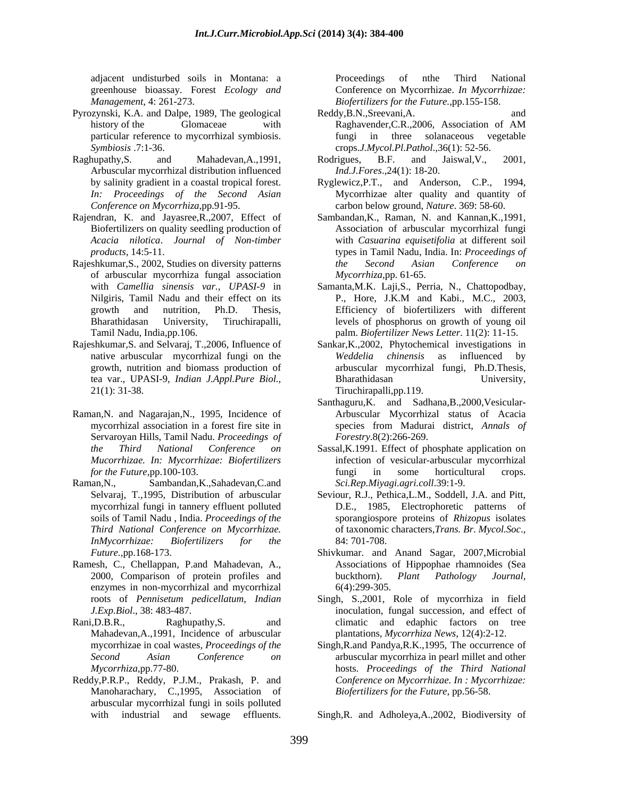greenhouse bioassay. Forest *Ecology and*

- Pyrozynski, K.A. and Dalpe, 1989, The geological
- Raghupathy, S. and Mahadevan, A., 1991, Rodrigues, B.F. and Jaiswal, V., 2001, Arbuscular mycorrhizal distribution influenced *In: Proceedings of the Second Asian Conference on Mycorrhiza*,pp.91-95. carbon below ground, *Nature*. 369: 58-60.
- 
- Rajeshkumar, S., 2002, Studies on diversity patterns the Second Asian Conference on of arbuscular mycorrhiza fungal association
- Rajeshkumar,S. and Selvaraj, T.,2006, Influence of Sankar,K.,2002, Phytochemical investigations in native arbuscular mycorrhizal fungi on the tea var., UPASI-9, *Indian J.Appl.Pure Biol.*, 21(1): 31-38.
- Raman,N. and Nagarajan,N., 1995, Incidence of Servaroyan Hills, Tamil Nadu. *Proceedings of*
- Raman, N., Sambandan, K., Sahadevan, C.and Sci. Rep. Miyagi. agri. coll. 39:1-9.
- Ramesh, C., Chellappan, P.and Mahadevan, A., enzymes in non-mycorrhizal and mycorrhizal 6(4):299-305.
- Mahadevan,A.,1991, Incidence of arbuscular
- Reddy,P.R.P., Reddy, P.J.M., Prakash, P. and Manoharachary, C.,1995, Association of arbuscular mycorrhizal fungi in soils polluted

adjacent undisturbed soils in Montana: a *Management*, 4: 261-273. *Biofertilizers for the Future.,*pp.155-158. Proceedings of nthe Third National Conference on Mycorrhizae. *In Mycorrhizae:*

- history of the Glomaceae with Raghavender, C.R., 2006, Association of AM particular reference to mycorrhizal symbiosis. fungi in three solanaceous vegetable *Symbiosis* .7:1-36. crops.*J.Mycol.Pl.Pathol*.,36(1): 52-56. Reddy,B.N.,Sreevani,A. and Raghavender,C.R.,2006, Association of AM
	- Rodrigues, B.F. and Jaiswal,V., 2001, *Ind.J.Fores*.,24(1): 18-20.
- by salinity gradient in a coastal tropical forest. Ryglewicz,P.T., and Anderson, C.P., 1994, Mycorrhizae alter quality and quantity of
- Rajendran, K. and Jayasree,R.,2007, Effect of Sambandan,K., Raman, N. and Kannan,K.,1991, Biofertilizers on quality seedling production of Association of arbuscular mycorrhizal fungi *Acacia nilotica*. *Journal of Non-timber*  with *Casuarina equisetifolia* at different soil *products*, 14:5-11. types in Tamil Nadu, India. In: *Proceedings of the Second Asian Conference on Mycorrhiza*,pp. 61-65.
	- with *Camellia sinensis var., UPASI-9* in Samanta,M.K. Laji,S., Perria, N., Chattopodbay, Nilgiris, Tamil Nadu and their effect on its<br>
	Thesis, P., Hore, J.K.M and Kabi., M.C., 2003,<br>
	growth and nutrition, Ph.D. Thesis, Efficiency of biofertilizers with different growth and nutrition, Ph.D. Thesis, Efficiency of biofertilizers with different Bharathidasan University, Tiruchirapalli, levels of phosphorus on growth of young oil Tamil Nadu, India,pp.106. palm. *Biofertilizer News Letter*. 11(2): 11-15. P., Hore, J.K.M and Kabi., M.C., 2003,
	- growth, nutrition and biomass production of arbuscular mycorrhizal fungi, Ph.D.Thesis, *Weddelia chinensis* as influenced by Bharathidasan University, Tiruchirapalli,pp.119.
	- mycorrhizal association in a forest fire site in speciesfrom Madurai district, *Annals of* Santhaguru,K. and Sadhana,B.,2000,Vesicular- Arbuscular Mycorrhizal status of Acacia *Forestry*.8(2):266-269.
	- *the Third National Conference on* Sassal,K.1991. Effect of phosphate application on *Mucorrhizae. In: Mycorrhizae: Biofertilizers* infection of vesicular-arbuscular mycorrhizal *for the Future*,pp.100-103. *for the Future*,pp.100-103. fungi in some horticultural crops. *Sci.Rep.Miyagi.agri.coll*.39:1-9.
	- Selvaraj, T.,1995, Distribution of arbuscular Seviour, R.J., Pethica,L.M., Soddell, J.A. and Pitt, mycorrhizal fungi in tannery effluent polluted D.E., 1985, Electrophoretic patterns of soils of Tamil Nadu , India. *Proceedings of the*  sporangiospore proteins of *Rhizopus* isolates *Third National Conference on Mycorrhizae.* of taxonomic characters,*Trans. Br*. *Mycol.Soc*., 84: 701-708. *InMycorrhizae: Biofertilizers for the*
	- *Future.,*pp.168-173. Shivkumar. and Anand Sagar, 2007,Microbial 2000, Comparison of protein profiles and buckthorn). Plant Pathology Journal, Associations of Hippophae rhamnoides (Sea buckthorn). *Plant Pathology Journal*, 6(4):299-305.
- roots of *Pennisetum pedicellatum*, *Indian* Singh, S.,2001, Role of mycorrhiza in field *J.Exp.Biol*., 38: 483-487. inoculation, fungal succession, and effect of Rani,D.B.R., Raghupathy,S. and climatic and edaphic factors on tree plantations, *Mycorrhiza News*, 12(4):2-12.
	- mycorrhizae in coal wastes, *Proceedings of the*  Singh,R.and Pandya,R.K.,1995, The occurrence of *Second Asian Conference on* arbuscular mycorrhiza in pearl millet and other *Mycorrhiza*,pp.77-80. hosts. *Proceedings of the Third National Conference on Mycorrhizae. In : Mycorrhizae: Biofertilizers for the Future,* pp.56-58.

with industrial and sewage effluents. Singh,R. and Adholeya,A.,2002, Biodiversity of